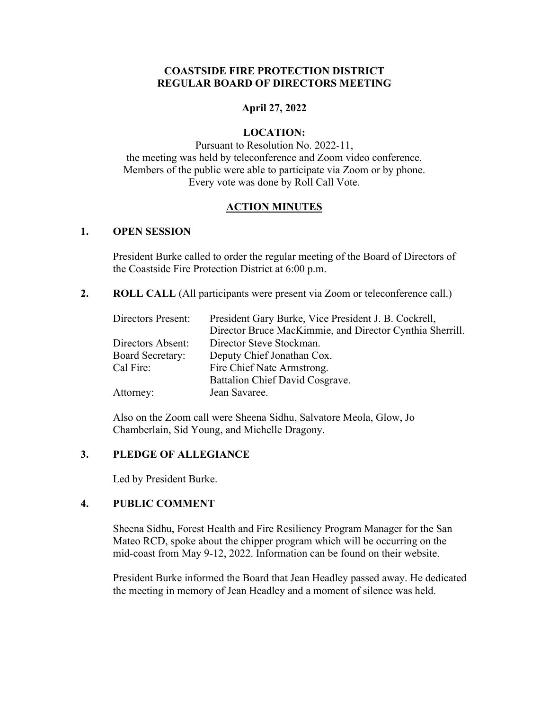### **COASTSIDE FIRE PROTECTION DISTRICT REGULAR BOARD OF DIRECTORS MEETING**

### **April 27, 2022**

#### **LOCATION:**

Pursuant to Resolution No. 2022-11, the meeting was held by teleconference and Zoom video conference. Members of the public were able to participate via Zoom or by phone. Every vote was done by Roll Call Vote.

#### **ACTION MINUTES**

#### **1. OPEN SESSION**

President Burke called to order the regular meeting of the Board of Directors of the Coastside Fire Protection District at 6:00 p.m.

**2. ROLL CALL** (All participants were present via Zoom or teleconference call.)

| Directors Present: | President Gary Burke, Vice President J. B. Cockrell,     |
|--------------------|----------------------------------------------------------|
|                    | Director Bruce MacKimmie, and Director Cynthia Sherrill. |
| Directors Absent:  | Director Steve Stockman.                                 |
| Board Secretary:   | Deputy Chief Jonathan Cox.                               |
| Cal Fire:          | Fire Chief Nate Armstrong.                               |
|                    | Battalion Chief David Cosgrave.                          |
| Attorney:          | Jean Savaree.                                            |

Also on the Zoom call were Sheena Sidhu, Salvatore Meola, Glow, Jo Chamberlain, Sid Young, and Michelle Dragony.

## **3. PLEDGE OF ALLEGIANCE**

Led by President Burke.

# **4. PUBLIC COMMENT**

Sheena Sidhu, Forest Health and Fire Resiliency Program Manager for the San Mateo RCD, spoke about the chipper program which will be occurring on the mid-coast from May 9-12, 2022. Information can be found on their website.

President Burke informed the Board that Jean Headley passed away. He dedicated the meeting in memory of Jean Headley and a moment of silence was held.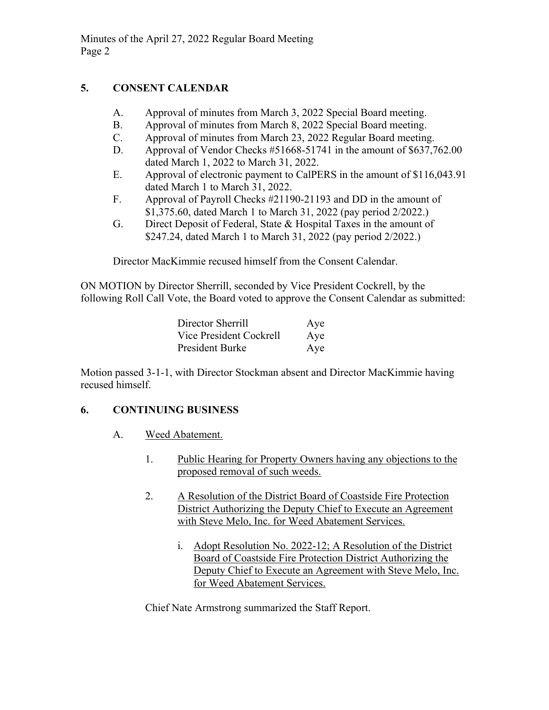# **5. CONSENT CALENDAR**

- A. Approval of minutes from March 3, 2022 Special Board meeting.
- B. Approval of minutes from March 8, 2022 Special Board meeting.
- C. Approval of minutes from March 23, 2022 Regular Board meeting.
- D. Approval of Vendor Checks #51668-51741 in the amount of \$637,762.00 dated March 1, 2022 to March 31, 2022.
- E. Approval of electronic payment to CalPERS in the amount of \$116,043.91 dated March 1 to March 31, 2022.
- F. Approval of Payroll Checks #21190-21193 and DD in the amount of \$1,375.60, dated March 1 to March 31, 2022 (pay period 2/2022.)
- G. Direct Deposit of Federal, State & Hospital Taxes in the amount of \$247.24, dated March 1 to March 31, 2022 (pay period 2/2022.)

Director MacKimmie recused himself from the Consent Calendar.

ON MOTION by Director Sherrill, seconded by Vice President Cockrell, by the following Roll Call Vote, the Board voted to approve the Consent Calendar as submitted:

| Director Sherrill       | Aye |
|-------------------------|-----|
| Vice President Cockrell | Aye |
| President Burke         | Aye |

Motion passed 3-1-1, with Director Stockman absent and Director MacKimmie having recused himself.

# **6. CONTINUING BUSINESS**

- A. Weed Abatement.
	- 1. Public Hearing for Property Owners having any objections to the proposed removal of such weeds.
	- 2. A Resolution of the District Board of Coastside Fire Protection District Authorizing the Deputy Chief to Execute an Agreement with Steve Melo, Inc. for Weed Abatement Services.
		- i. Adopt Resolution No. 2022-12; A Resolution of the District Board of Coastside Fire Protection District Authorizing the Deputy Chief to Execute an Agreement with Steve Melo, Inc. for Weed Abatement Services.

Chief Nate Armstrong summarized the Staff Report.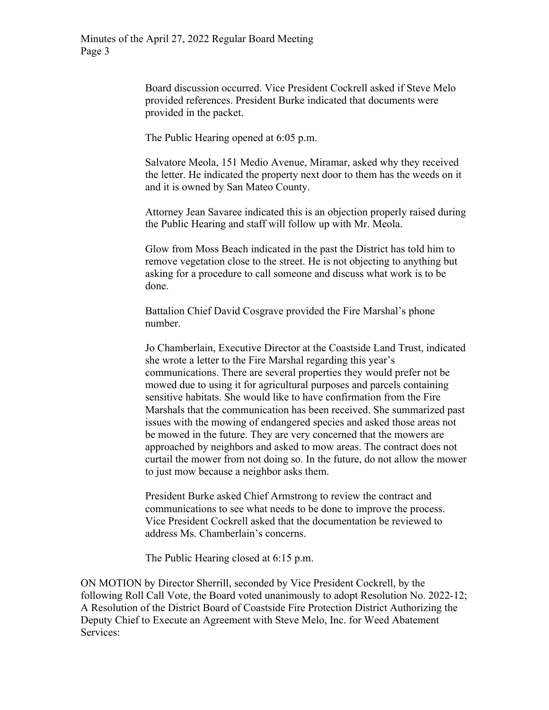Board discussion occurred. Vice President Cockrell asked if Steve Melo provided references. President Burke indicated that documents were provided in the packet.

The Public Hearing opened at 6:05 p.m.

Salvatore Meola, 151 Medio Avenue, Miramar, asked why they received the letter. He indicated the property next door to them has the weeds on it and it is owned by San Mateo County.

Attorney Jean Savaree indicated this is an objection properly raised during the Public Hearing and staff will follow up with Mr. Meola.

Glow from Moss Beach indicated in the past the District has told him to remove vegetation close to the street. He is not objecting to anything but asking for a procedure to call someone and discuss what work is to be done.

Battalion Chief David Cosgrave provided the Fire Marshal's phone number.

Jo Chamberlain, Executive Director at the Coastside Land Trust, indicated she wrote a letter to the Fire Marshal regarding this year's communications. There are several properties they would prefer not be mowed due to using it for agricultural purposes and parcels containing sensitive habitats. She would like to have confirmation from the Fire Marshals that the communication has been received. She summarized past issues with the mowing of endangered species and asked those areas not be mowed in the future. They are very concerned that the mowers are approached by neighbors and asked to mow areas. The contract does not curtail the mower from not doing so. In the future, do not allow the mower to just mow because a neighbor asks them.

President Burke asked Chief Armstrong to review the contract and communications to see what needs to be done to improve the process. Vice President Cockrell asked that the documentation be reviewed to address Ms. Chamberlain's concerns.

The Public Hearing closed at 6:15 p.m.

ON MOTION by Director Sherrill, seconded by Vice President Cockrell, by the following Roll Call Vote, the Board voted unanimously to adopt Resolution No. 2022-12; A Resolution of the District Board of Coastside Fire Protection District Authorizing the Deputy Chief to Execute an Agreement with Steve Melo, Inc. for Weed Abatement Services: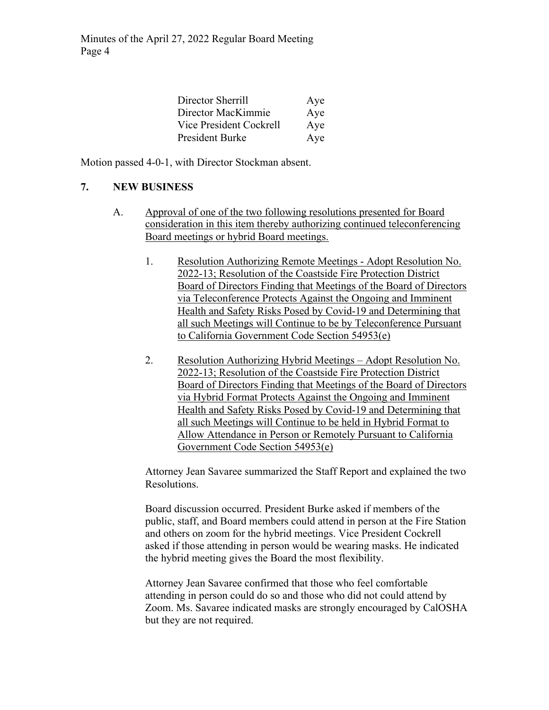| Director Sherrill       | Aye |
|-------------------------|-----|
| Director MacKimmie      | Aye |
| Vice President Cockrell | Aye |
| President Burke         | Aye |

Motion passed 4-0-1, with Director Stockman absent.

### **7. NEW BUSINESS**

- A. Approval of one of the two following resolutions presented for Board consideration in this item thereby authorizing continued teleconferencing Board meetings or hybrid Board meetings.
	- 1. Resolution Authorizing Remote Meetings Adopt Resolution No. 2022-13; Resolution of the Coastside Fire Protection District Board of Directors Finding that Meetings of the Board of Directors via Teleconference Protects Against the Ongoing and Imminent Health and Safety Risks Posed by Covid-19 and Determining that all such Meetings will Continue to be by Teleconference Pursuant to California Government Code Section 54953(e)
	- 2. Resolution Authorizing Hybrid Meetings Adopt Resolution No. 2022-13; Resolution of the Coastside Fire Protection District Board of Directors Finding that Meetings of the Board of Directors via Hybrid Format Protects Against the Ongoing and Imminent Health and Safety Risks Posed by Covid-19 and Determining that all such Meetings will Continue to be held in Hybrid Format to Allow Attendance in Person or Remotely Pursuant to California Government Code Section 54953(e)

Attorney Jean Savaree summarized the Staff Report and explained the two Resolutions.

Board discussion occurred. President Burke asked if members of the public, staff, and Board members could attend in person at the Fire Station and others on zoom for the hybrid meetings. Vice President Cockrell asked if those attending in person would be wearing masks. He indicated the hybrid meeting gives the Board the most flexibility.

Attorney Jean Savaree confirmed that those who feel comfortable attending in person could do so and those who did not could attend by Zoom. Ms. Savaree indicated masks are strongly encouraged by CalOSHA but they are not required.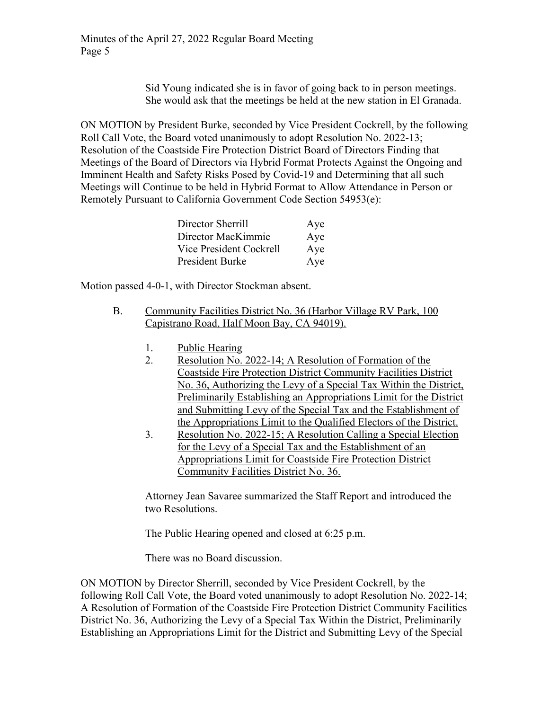Sid Young indicated she is in favor of going back to in person meetings. She would ask that the meetings be held at the new station in El Granada.

ON MOTION by President Burke, seconded by Vice President Cockrell, by the following Roll Call Vote, the Board voted unanimously to adopt Resolution No. 2022-13; Resolution of the Coastside Fire Protection District Board of Directors Finding that Meetings of the Board of Directors via Hybrid Format Protects Against the Ongoing and Imminent Health and Safety Risks Posed by Covid-19 and Determining that all such Meetings will Continue to be held in Hybrid Format to Allow Attendance in Person or Remotely Pursuant to California Government Code Section 54953(e):

| Director Sherrill       | Aye |
|-------------------------|-----|
| Director MacKimmie      | Aye |
| Vice President Cockrell | Aye |
| President Burke         | Aye |

Motion passed 4-0-1, with Director Stockman absent.

- B. Community Facilities District No. 36 (Harbor Village RV Park, 100 Capistrano Road, Half Moon Bay, CA 94019).
	- 1. Public Hearing
	- 2. Resolution No. 2022-14; A Resolution of Formation of the Coastside Fire Protection District Community Facilities District No. 36, Authorizing the Levy of a Special Tax Within the District, Preliminarily Establishing an Appropriations Limit for the District and Submitting Levy of the Special Tax and the Establishment of the Appropriations Limit to the Qualified Electors of the District.
	- 3. Resolution No. 2022-15; A Resolution Calling a Special Election for the Levy of a Special Tax and the Establishment of an Appropriations Limit for Coastside Fire Protection District Community Facilities District No. 36.

Attorney Jean Savaree summarized the Staff Report and introduced the two Resolutions.

The Public Hearing opened and closed at 6:25 p.m.

There was no Board discussion.

ON MOTION by Director Sherrill, seconded by Vice President Cockrell, by the following Roll Call Vote, the Board voted unanimously to adopt Resolution No. 2022-14; A Resolution of Formation of the Coastside Fire Protection District Community Facilities District No. 36, Authorizing the Levy of a Special Tax Within the District, Preliminarily Establishing an Appropriations Limit for the District and Submitting Levy of the Special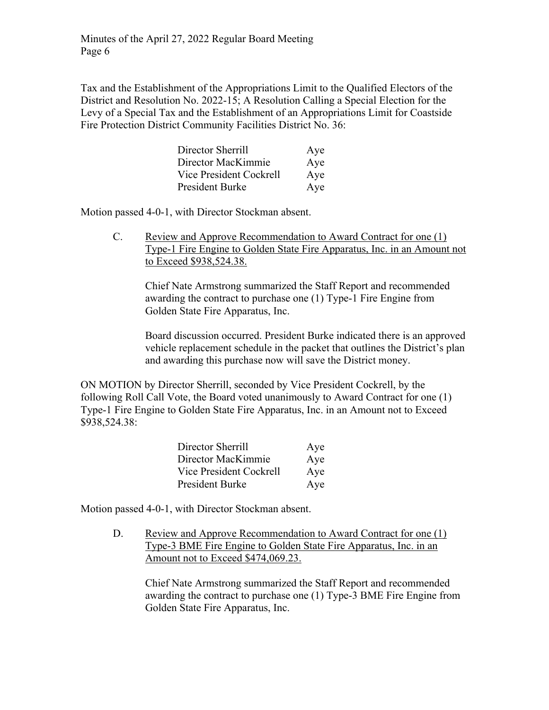Tax and the Establishment of the Appropriations Limit to the Qualified Electors of the District and Resolution No. 2022-15; A Resolution Calling a Special Election for the Levy of a Special Tax and the Establishment of an Appropriations Limit for Coastside Fire Protection District Community Facilities District No. 36:

| Director Sherrill       | Aye |
|-------------------------|-----|
| Director MacKimmie      | Aye |
| Vice President Cockrell | Aye |
| <b>President Burke</b>  | Aye |

Motion passed 4-0-1, with Director Stockman absent.

C. Review and Approve Recommendation to Award Contract for one (1) Type-1 Fire Engine to Golden State Fire Apparatus, Inc. in an Amount not to Exceed \$938,524.38.

Chief Nate Armstrong summarized the Staff Report and recommended awarding the contract to purchase one (1) Type-1 Fire Engine from Golden State Fire Apparatus, Inc.

Board discussion occurred. President Burke indicated there is an approved vehicle replacement schedule in the packet that outlines the District's plan and awarding this purchase now will save the District money.

ON MOTION by Director Sherrill, seconded by Vice President Cockrell, by the following Roll Call Vote, the Board voted unanimously to Award Contract for one (1) Type-1 Fire Engine to Golden State Fire Apparatus, Inc. in an Amount not to Exceed \$938,524.38:

| Director Sherrill       | Aye |
|-------------------------|-----|
| Director MacKimmie      | Aye |
| Vice President Cockrell | Aye |
| President Burke         | Aye |

Motion passed 4-0-1, with Director Stockman absent.

D. Review and Approve Recommendation to Award Contract for one (1) Type-3 BME Fire Engine to Golden State Fire Apparatus, Inc. in an Amount not to Exceed \$474,069.23.

Chief Nate Armstrong summarized the Staff Report and recommended awarding the contract to purchase one (1) Type-3 BME Fire Engine from Golden State Fire Apparatus, Inc.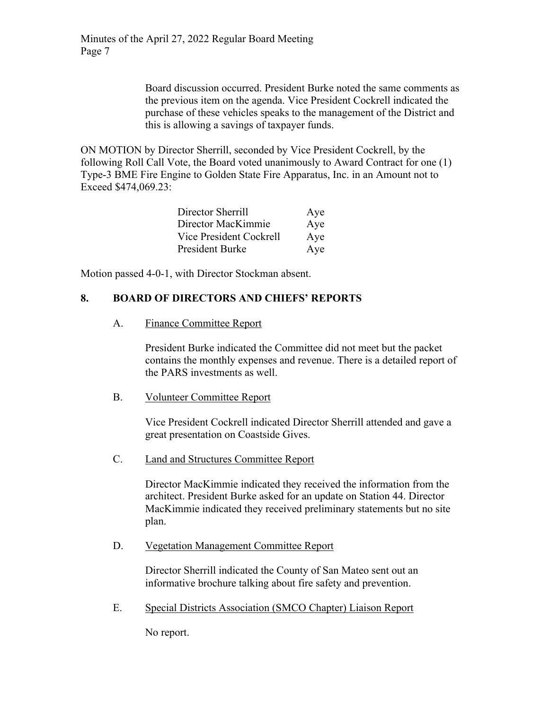Board discussion occurred. President Burke noted the same comments as the previous item on the agenda. Vice President Cockrell indicated the purchase of these vehicles speaks to the management of the District and this is allowing a savings of taxpayer funds.

ON MOTION by Director Sherrill, seconded by Vice President Cockrell, by the following Roll Call Vote, the Board voted unanimously to Award Contract for one (1) Type-3 BME Fire Engine to Golden State Fire Apparatus, Inc. in an Amount not to Exceed \$474,069.23:

| Director Sherrill       | Aye |
|-------------------------|-----|
| Director MacKimmie      | Aye |
| Vice President Cockrell | Aye |
| President Burke         | Aye |

Motion passed 4-0-1, with Director Stockman absent.

# **8. BOARD OF DIRECTORS AND CHIEFS' REPORTS**

#### A. Finance Committee Report

President Burke indicated the Committee did not meet but the packet contains the monthly expenses and revenue. There is a detailed report of the PARS investments as well.

#### B. Volunteer Committee Report

Vice President Cockrell indicated Director Sherrill attended and gave a great presentation on Coastside Gives.

# C. Land and Structures Committee Report

Director MacKimmie indicated they received the information from the architect. President Burke asked for an update on Station 44. Director MacKimmie indicated they received preliminary statements but no site plan.

#### D. Vegetation Management Committee Report

Director Sherrill indicated the County of San Mateo sent out an informative brochure talking about fire safety and prevention.

E. Special Districts Association (SMCO Chapter) Liaison Report

No report.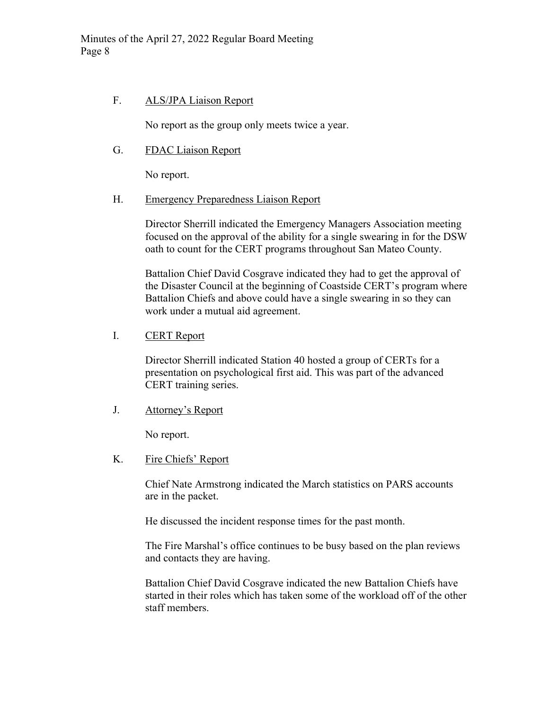### F. ALS/JPA Liaison Report

No report as the group only meets twice a year.

#### G. FDAC Liaison Report

No report.

#### H. Emergency Preparedness Liaison Report

Director Sherrill indicated the Emergency Managers Association meeting focused on the approval of the ability for a single swearing in for the DSW oath to count for the CERT programs throughout San Mateo County.

Battalion Chief David Cosgrave indicated they had to get the approval of the Disaster Council at the beginning of Coastside CERT's program where Battalion Chiefs and above could have a single swearing in so they can work under a mutual aid agreement.

### I. CERT Report

Director Sherrill indicated Station 40 hosted a group of CERTs for a presentation on psychological first aid. This was part of the advanced CERT training series.

#### J. Attorney's Report

No report.

# K. Fire Chiefs' Report

Chief Nate Armstrong indicated the March statistics on PARS accounts are in the packet.

He discussed the incident response times for the past month.

The Fire Marshal's office continues to be busy based on the plan reviews and contacts they are having.

Battalion Chief David Cosgrave indicated the new Battalion Chiefs have started in their roles which has taken some of the workload off of the other staff members.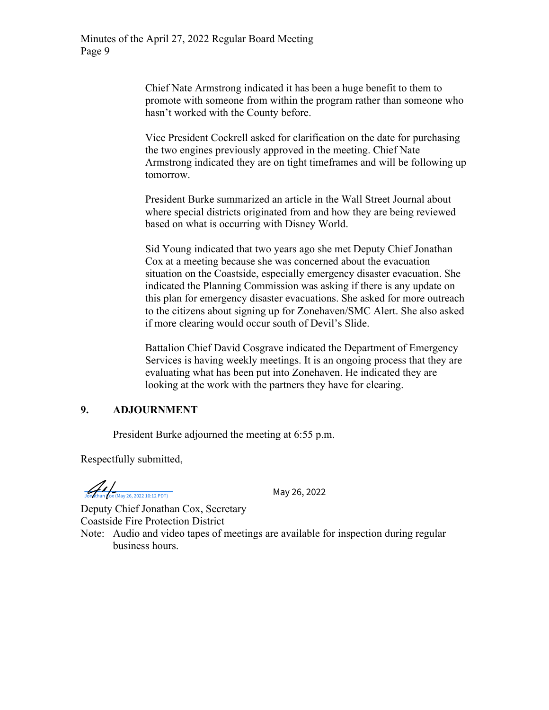Chief Nate Armstrong indicated it has been a huge benefit to them to promote with someone from within the program rather than someone who hasn't worked with the County before.

Vice President Cockrell asked for clarification on the date for purchasing the two engines previously approved in the meeting. Chief Nate Armstrong indicated they are on tight timeframes and will be following up tomorrow.

President Burke summarized an article in the Wall Street Journal about where special districts originated from and how they are being reviewed based on what is occurring with Disney World.

Sid Young indicated that two years ago she met Deputy Chief Jonathan Cox at a meeting because she was concerned about the evacuation situation on the Coastside, especially emergency disaster evacuation. She indicated the Planning Commission was asking if there is any update on this plan for emergency disaster evacuations. She asked for more outreach to the citizens about signing up for Zonehaven/SMC Alert. She also asked if more clearing would occur south of Devil's Slide.

Battalion Chief David Cosgrave indicated the Department of Emergency Services is having weekly meetings. It is an ongoing process that they are evaluating what has been put into Zonehaven. He indicated they are looking at the work with the partners they have for clearing.

# **9. ADJOURNMENT**

President Burke adjourned the meeting at 6:55 p.m.

Respectfully submitted,

 $\frac{1}{\sqrt{2\pi}}\int_{\frac{\text{J}}{\sqrt{2\pi}}} \frac{1}{\sqrt{2(222 \times 10:12 \times 10^{-11} \text{ F})}}$  May 26, 2022

Deputy Chief Jonathan Cox, Secretary Coastside Fire Protection District

Note: Audio and video tapes of meetings are available for inspection during regular business hours.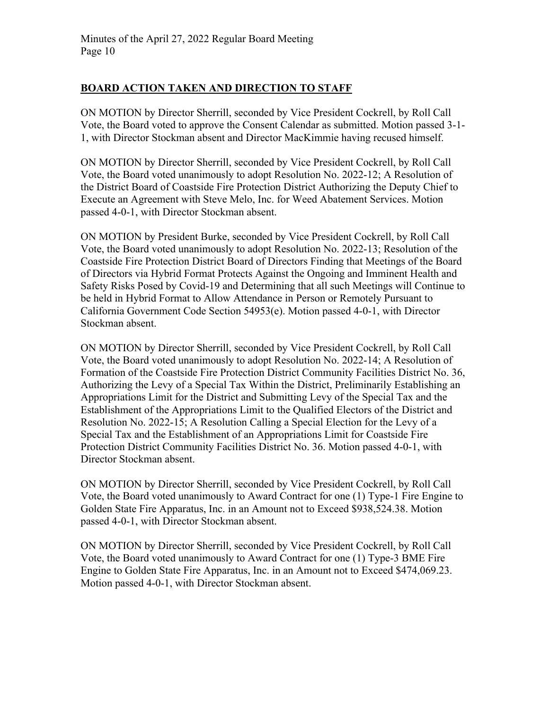# **BOARD ACTION TAKEN AND DIRECTION TO STAFF**

ON MOTION by Director Sherrill, seconded by Vice President Cockrell, by Roll Call Vote, the Board voted to approve the Consent Calendar as submitted. Motion passed 3-1- 1, with Director Stockman absent and Director MacKimmie having recused himself.

ON MOTION by Director Sherrill, seconded by Vice President Cockrell, by Roll Call Vote, the Board voted unanimously to adopt Resolution No. 2022-12; A Resolution of the District Board of Coastside Fire Protection District Authorizing the Deputy Chief to Execute an Agreement with Steve Melo, Inc. for Weed Abatement Services. Motion passed 4-0-1, with Director Stockman absent.

ON MOTION by President Burke, seconded by Vice President Cockrell, by Roll Call Vote, the Board voted unanimously to adopt Resolution No. 2022-13; Resolution of the Coastside Fire Protection District Board of Directors Finding that Meetings of the Board of Directors via Hybrid Format Protects Against the Ongoing and Imminent Health and Safety Risks Posed by Covid-19 and Determining that all such Meetings will Continue to be held in Hybrid Format to Allow Attendance in Person or Remotely Pursuant to California Government Code Section 54953(e). Motion passed 4-0-1, with Director Stockman absent.

ON MOTION by Director Sherrill, seconded by Vice President Cockrell, by Roll Call Vote, the Board voted unanimously to adopt Resolution No. 2022-14; A Resolution of Formation of the Coastside Fire Protection District Community Facilities District No. 36, Authorizing the Levy of a Special Tax Within the District, Preliminarily Establishing an Appropriations Limit for the District and Submitting Levy of the Special Tax and the Establishment of the Appropriations Limit to the Qualified Electors of the District and Resolution No. 2022-15; A Resolution Calling a Special Election for the Levy of a Special Tax and the Establishment of an Appropriations Limit for Coastside Fire Protection District Community Facilities District No. 36. Motion passed 4-0-1, with Director Stockman absent.

ON MOTION by Director Sherrill, seconded by Vice President Cockrell, by Roll Call Vote, the Board voted unanimously to Award Contract for one (1) Type-1 Fire Engine to Golden State Fire Apparatus, Inc. in an Amount not to Exceed \$938,524.38. Motion passed 4-0-1, with Director Stockman absent.

ON MOTION by Director Sherrill, seconded by Vice President Cockrell, by Roll Call Vote, the Board voted unanimously to Award Contract for one (1) Type-3 BME Fire Engine to Golden State Fire Apparatus, Inc. in an Amount not to Exceed \$474,069.23. Motion passed 4-0-1, with Director Stockman absent.